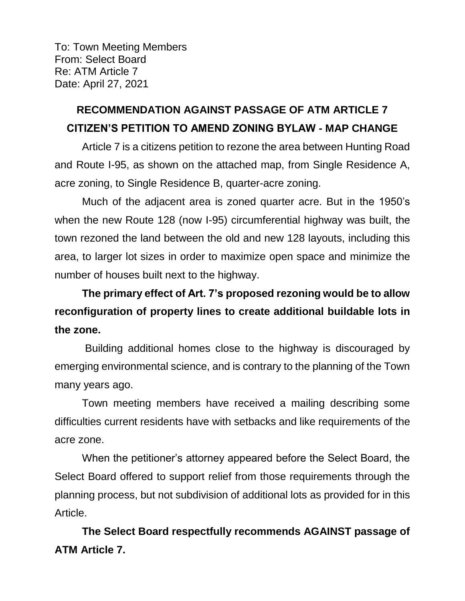To: Town Meeting Members From: Select Board Re: ATM Article 7 Date: April 27, 2021

## **RECOMMENDATION AGAINST PASSAGE OF ATM ARTICLE 7 CITIZEN'S PETITION TO AMEND ZONING BYLAW - MAP CHANGE**

Article 7 is a citizens petition to rezone the area between Hunting Road and Route I-95, as shown on the attached map, from Single Residence A, acre zoning, to Single Residence B, quarter-acre zoning.

Much of the adjacent area is zoned quarter acre. But in the 1950's when the new Route 128 (now I-95) circumferential highway was built, the town rezoned the land between the old and new 128 layouts, including this area, to larger lot sizes in order to maximize open space and minimize the number of houses built next to the highway.

**The primary effect of Art. 7's proposed rezoning would be to allow reconfiguration of property lines to create additional buildable lots in the zone.**

Building additional homes close to the highway is discouraged by emerging environmental science, and is contrary to the planning of the Town many years ago.

Town meeting members have received a mailing describing some difficulties current residents have with setbacks and like requirements of the acre zone.

When the petitioner's attorney appeared before the Select Board, the Select Board offered to support relief from those requirements through the planning process, but not subdivision of additional lots as provided for in this Article.

**The Select Board respectfully recommends AGAINST passage of ATM Article 7.**